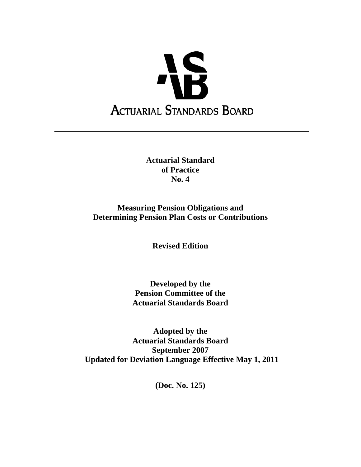

**Actuarial Standard of Practice No. 4**

**Measuring Pension Obligations and Determining Pension Plan Costs or Contributions** 

**Revised Edition**

**Developed by the Pension Committee of the Actuarial Standards Board** 

**Adopted by the Actuarial Standards Board September 2007 Updated for Deviation Language Effective May 1, 2011** 

**(Doc. No. 125)**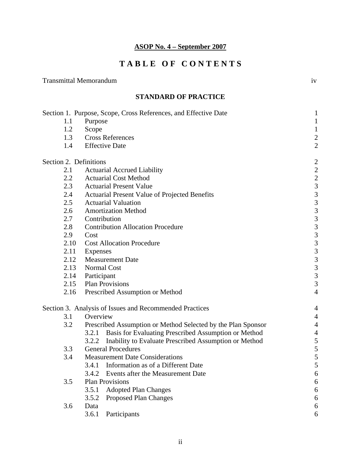# **T A B L E O F C O N T E N T S**

Transmittal Memorandum iv

|                        | <b>STANDARD OF PRACTICE</b>                                     |                          |
|------------------------|-----------------------------------------------------------------|--------------------------|
|                        | Section 1. Purpose, Scope, Cross References, and Effective Date | $\mathbf{1}$             |
| 1.1                    | Purpose                                                         | $\mathbf{1}$             |
| 1.2                    | Scope                                                           | $\mathbf{1}$             |
| 1.3                    | <b>Cross References</b>                                         | $\frac{2}{2}$            |
| 1.4                    | <b>Effective Date</b>                                           |                          |
| Section 2. Definitions |                                                                 | $\overline{c}$           |
| 2.1                    | <b>Actuarial Accrued Liability</b>                              |                          |
| 2.2                    | <b>Actuarial Cost Method</b>                                    |                          |
| 2.3                    | <b>Actuarial Present Value</b>                                  |                          |
| 2.4                    | Actuarial Present Value of Projected Benefits                   |                          |
| 2.5                    | <b>Actuarial Valuation</b>                                      |                          |
| 2.6                    | <b>Amortization Method</b>                                      |                          |
| 2.7                    | Contribution                                                    |                          |
| 2.8                    | <b>Contribution Allocation Procedure</b>                        | 2233333333333            |
| 2.9                    | Cost                                                            |                          |
| 2.10                   | <b>Cost Allocation Procedure</b>                                |                          |
| 2.11                   | Expenses                                                        |                          |
| 2.12                   | <b>Measurement Date</b>                                         |                          |
| 2.13                   | Normal Cost                                                     |                          |
| 2.14                   | Participant                                                     |                          |
| 2.15                   | <b>Plan Provisions</b>                                          |                          |
| 2.16                   | Prescribed Assumption or Method                                 | $\overline{4}$           |
|                        | Section 3. Analysis of Issues and Recommended Practices         | 4                        |
| 3.1                    | Overview                                                        | $\overline{\mathcal{A}}$ |
| 3.2                    | Prescribed Assumption or Method Selected by the Plan Sponsor    | $\overline{4}$           |
|                        | Basis for Evaluating Prescribed Assumption or Method<br>3.2.1   | $\overline{4}$           |
|                        | Inability to Evaluate Prescribed Assumption or Method<br>3.2.2  | 5                        |
| 3.3                    | <b>General Procedures</b>                                       | 5                        |
| 3.4                    | <b>Measurement Date Considerations</b>                          | 5                        |
|                        | Information as of a Different Date<br>3.4.1                     | $\sqrt{5}$               |
|                        | Events after the Measurement Date<br>3.4.2                      | 6                        |
| 3.5                    | <b>Plan Provisions</b>                                          | $\boldsymbol{6}$         |
|                        | 3.5.1<br><b>Adopted Plan Changes</b>                            | 6                        |
|                        | 3.5.2<br>Proposed Plan Changes                                  | 6                        |
| 3.6                    | Data                                                            | 6                        |

3.6.1 Participants 6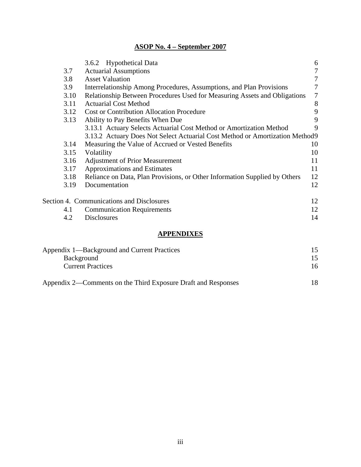|                                                                              | 3.6.2 Hypothetical Data                                                    | 6  |
|------------------------------------------------------------------------------|----------------------------------------------------------------------------|----|
| 3.7                                                                          | <b>Actuarial Assumptions</b>                                               |    |
| 3.8                                                                          | <b>Asset Valuation</b>                                                     | 7  |
| 3.9                                                                          | Interrelationship Among Procedures, Assumptions, and Plan Provisions       | 7  |
| 3.10                                                                         | Relationship Between Procedures Used for Measuring Assets and Obligations  | 7  |
| 3.11                                                                         | <b>Actuarial Cost Method</b>                                               | 8  |
| 3.12                                                                         | <b>Cost or Contribution Allocation Procedure</b>                           | 9  |
| 3.13<br>Ability to Pay Benefits When Due                                     |                                                                            | 9  |
|                                                                              | 3.13.1 Actuary Selects Actuarial Cost Method or Amortization Method        | 9  |
| 3.13.2 Actuary Does Not Select Actuarial Cost Method or Amortization Method9 |                                                                            |    |
| 3.14                                                                         | Measuring the Value of Accrued or Vested Benefits                          | 10 |
| 3.15                                                                         | Volatility                                                                 | 10 |
| 3.16                                                                         | <b>Adjustment of Prior Measurement</b>                                     | 11 |
| 3.17                                                                         | Approximations and Estimates                                               | 11 |
| 3.18                                                                         | Reliance on Data, Plan Provisions, or Other Information Supplied by Others | 12 |
| 3.19                                                                         | Documentation                                                              | 12 |
|                                                                              | Section 4. Communications and Disclosures                                  | 12 |
| 4.1                                                                          | <b>Communication Requirements</b>                                          | 12 |
| 4.2                                                                          | <b>Disclosures</b>                                                         | 14 |
|                                                                              |                                                                            |    |

#### **APPENDIXES**

| Appendix 1—Background and Current Practices                   |     |
|---------------------------------------------------------------|-----|
| Background                                                    |     |
| <b>Current Practices</b>                                      |     |
| Appendix 2—Comments on the Third Exposure Draft and Responses | 18. |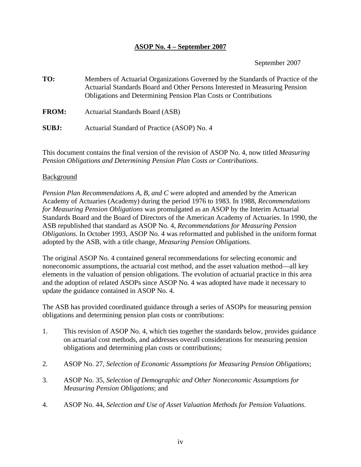September 2007

**TO:** Members of Actuarial Organizations Governed by the Standards of Practice of the Actuarial Standards Board and Other Persons Interested in Measuring Pension Obligations and Determining Pension Plan Costs or Contributions

**FROM:** Actuarial Standards Board (ASB)

**SUBJ:** Actuarial Standard of Practice (ASOP) No. 4

This document contains the final version of the revision of ASOP No. 4, now titled *Measuring Pension Obligations and Determining Pension Plan Costs or Contributions*.

#### Background

*Pension Plan Recommendations A, B, and C* were adopted and amended by the American Academy of Actuaries (Academy) during the period 1976 to 1983. In 1988, *Recommendations for Measuring Pension Obligations* was promulgated as an ASOP by the Interim Actuarial Standards Board and the Board of Directors of the American Academy of Actuaries. In 1990, the ASB republished that standard as ASOP No. 4, *Recommendations for Measuring Pension Obligations*. In October 1993, ASOP No. 4 was reformatted and published in the uniform format adopted by the ASB, with a title change, *Measuring Pension Obligations*.

The original ASOP No. 4 contained general recommendations for selecting economic and noneconomic assumptions, the actuarial cost method, and the asset valuation method—all key elements in the valuation of pension obligations. The evolution of actuarial practice in this area and the adoption of related ASOPs since ASOP No. 4 was adopted have made it necessary to update the guidance contained in ASOP No. 4.

The ASB has provided coordinated guidance through a series of ASOPs for measuring pension obligations and determining pension plan costs or contributions:

- 1. This revision of ASOP No. 4, which ties together the standards below, provides guidance on actuarial cost methods, and addresses overall considerations for measuring pension obligations and determining plan costs or contributions;
- 2. ASOP No. 27, *Selection of Economic Assumptions for Measuring Pension Obligations*;
- 3. ASOP No. 35, *Selection of Demographic and Other Noneconomic Assumptions for Measuring Pension Obligations*; and
- 4. ASOP No. 44, *Selection and Use of Asset Valuation Methods for Pension Valuations*.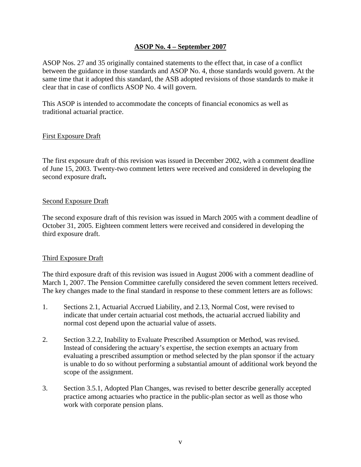ASOP Nos. 27 and 35 originally contained statements to the effect that, in case of a conflict between the guidance in those standards and ASOP No. 4, those standards would govern. At the same time that it adopted this standard, the ASB adopted revisions of those standards to make it clear that in case of conflicts ASOP No. 4 will govern.

This ASOP is intended to accommodate the concepts of financial economics as well as traditional actuarial practice.

#### First Exposure Draft

The first exposure draft of this revision was issued in December 2002, with a comment deadline of June 15, 2003. Twenty-two comment letters were received and considered in developing the second exposure draft**.** 

#### Second Exposure Draft

The second exposure draft of this revision was issued in March 2005 with a comment deadline of October 31, 2005. Eighteen comment letters were received and considered in developing the third exposure draft.

#### Third Exposure Draft

The third exposure draft of this revision was issued in August 2006 with a comment deadline of March 1, 2007. The Pension Committee carefully considered the seven comment letters received. The key changes made to the final standard in response to these comment letters are as follows:

- 1. Sections 2.1, Actuarial Accrued Liability, and 2.13, Normal Cost, were revised to indicate that under certain actuarial cost methods, the actuarial accrued liability and normal cost depend upon the actuarial value of assets.
- 2. Section 3.2.2, Inability to Evaluate Prescribed Assumption or Method, was revised. Instead of considering the actuary's expertise, the section exempts an actuary from evaluating a prescribed assumption or method selected by the plan sponsor if the actuary is unable to do so without performing a substantial amount of additional work beyond the scope of the assignment.
- 3. Section 3.5.1, Adopted Plan Changes, was revised to better describe generally accepted practice among actuaries who practice in the public-plan sector as well as those who work with corporate pension plans.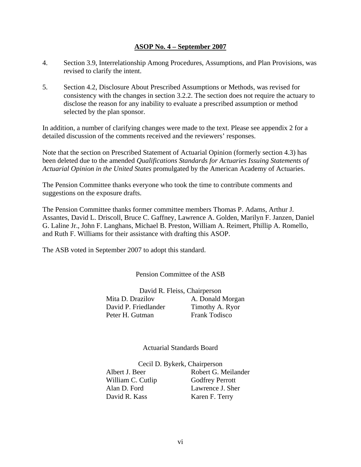- 4. Section 3.9, Interrelationship Among Procedures, Assumptions, and Plan Provisions, was revised to clarify the intent.
- 5. Section 4.2, Disclosure About Prescribed Assumptions or Methods, was revised for consistency with the changes in section 3.2.2. The section does not require the actuary to disclose the reason for any inability to evaluate a prescribed assumption or method selected by the plan sponsor.

In addition, a number of clarifying changes were made to the text. Please see appendix 2 for a detailed discussion of the comments received and the reviewers' responses.

Note that the section on Prescribed Statement of Actuarial Opinion (formerly section 4.3) has been deleted due to the amended *Qualifications Standards for Actuaries Issuing Statements of Actuarial Opinion in the United States* promulgated by the American Academy of Actuaries.

The Pension Committee thanks everyone who took the time to contribute comments and suggestions on the exposure drafts.

The Pension Committee thanks former committee members Thomas P. Adams, Arthur J. Assantes, David L. Driscoll, Bruce C. Gaffney, Lawrence A. Golden, Marilyn F. Janzen, Daniel G. Laline Jr., John F. Langhans, Michael B. Preston, William A. Reimert, Phillip A. Romello, and Ruth F. Williams for their assistance with drafting this ASOP.

The ASB voted in September 2007 to adopt this standard.

Pension Committee of the ASB

David R. Fleiss, Chairperson Mita D. Drazilov A. Donald Morgan David P. Friedlander Timothy A. Ryor Peter H. Gutman Frank Todisco

Actuarial Standards Board

Cecil D. Bykerk, Chairperson Albert J. Beer Robert G. Meilander William C. Cutlip Godfrey Perrott Alan D. Ford Lawrence J. Sher David R. Kass Karen F. Terry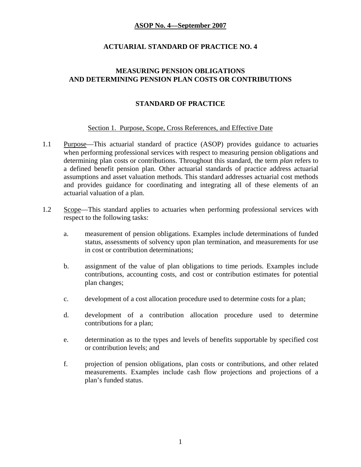#### **ACTUARIAL STANDARD OF PRACTICE NO. 4**

### **MEASURING PENSION OBLIGATIONS AND DETERMINING PENSION PLAN COSTS OR CONTRIBUTIONS**

### **STANDARD OF PRACTICE**

#### Section 1. Purpose, Scope, Cross References, and Effective Date

- 1.1 Purpose—This actuarial standard of practice (ASOP) provides guidance to actuaries when performing professional services with respect to measuring pension obligations and determining plan costs or contributions. Throughout this standard, the term *plan* refers to a defined benefit pension plan. Other actuarial standards of practice address actuarial assumptions and asset valuation methods. This standard addresses actuarial cost methods and provides guidance for coordinating and integrating all of these elements of an actuarial valuation of a plan.
- 1.2 Scope—This standard applies to actuaries when performing professional services with respect to the following tasks:
	- a. measurement of pension obligations. Examples include determinations of funded status, assessments of solvency upon plan termination, and measurements for use in cost or contribution determinations;
	- b. assignment of the value of plan obligations to time periods. Examples include contributions, accounting costs, and cost or contribution estimates for potential plan changes;
	- c. development of a cost allocation procedure used to determine costs for a plan;
	- d. development of a contribution allocation procedure used to determine contributions for a plan;
	- e. determination as to the types and levels of benefits supportable by specified cost or contribution levels; and
	- f. projection of pension obligations, plan costs or contributions, and other related measurements. Examples include cash flow projections and projections of a plan's funded status.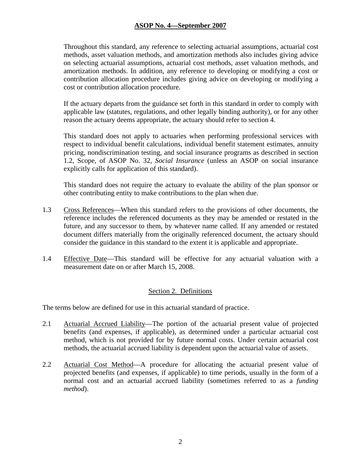Throughout this standard, any reference to selecting actuarial assumptions, actuarial cost methods, asset valuation methods, and amortization methods also includes giving advice on selecting actuarial assumptions, actuarial cost methods, asset valuation methods, and amortization methods. In addition, any reference to developing or modifying a cost or contribution allocation procedure includes giving advice on developing or modifying a cost or contribution allocation procedure.

If the actuary departs from the guidance set forth in this standard in order to comply with applicable law (statutes, regulations, and other legally binding authority), or for any other reason the actuary deems appropriate, the actuary should refer to section 4.

This standard does not apply to actuaries when performing professional services with respect to individual benefit calculations, individual benefit statement estimates, annuity pricing, nondiscrimination testing, and social insurance programs as described in section 1.2, Scope, of ASOP No. 32, *Social Insurance* (unless an ASOP on social insurance explicitly calls for application of this standard).

This standard does not require the actuary to evaluate the ability of the plan sponsor or other contributing entity to make contributions to the plan when due.

- 1.3 Cross References—When this standard refers to the provisions of other documents, the reference includes the referenced documents as they may be amended or restated in the future, and any successor to them, by whatever name called. If any amended or restated document differs materially from the originally referenced document, the actuary should consider the guidance in this standard to the extent it is applicable and appropriate.
- 1.4 Effective Date—This standard will be effective for any actuarial valuation with a measurement date on or after March 15, 2008.

### Section 2. Definitions

The terms below are defined for use in this actuarial standard of practice.

- 2.1 Actuarial Accrued Liability—The portion of the actuarial present value of projected benefits (and expenses, if applicable), as determined under a particular actuarial cost method, which is not provided for by future normal costs. Under certain actuarial cost methods, the actuarial accrued liability is dependent upon the actuarial value of assets.
- 2.2 Actuarial Cost Method—A procedure for allocating the actuarial present value of projected benefits (and expenses, if applicable) to time periods, usually in the form of a normal cost and an actuarial accrued liability (sometimes referred to as a *funding method*).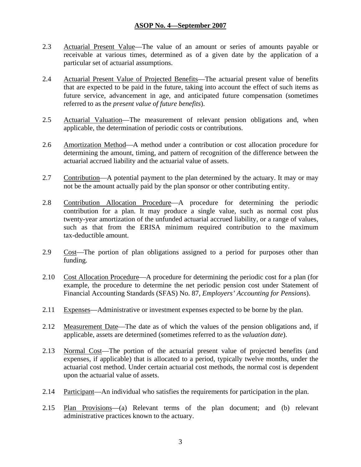- 2.3 Actuarial Present Value—The value of an amount or series of amounts payable or receivable at various times, determined as of a given date by the application of a particular set of actuarial assumptions.
- 2.4 Actuarial Present Value of Projected Benefits—The actuarial present value of benefits that are expected to be paid in the future, taking into account the effect of such items as future service, advancement in age, and anticipated future compensation (sometimes referred to as the *present value of future benefits*).
- 2.5 Actuarial Valuation—The measurement of relevant pension obligations and, when applicable, the determination of periodic costs or contributions.
- 2.6 Amortization Method—A method under a contribution or cost allocation procedure for determining the amount, timing, and pattern of recognition of the difference between the actuarial accrued liability and the actuarial value of assets.
- 2.7 Contribution—A potential payment to the plan determined by the actuary. It may or may not be the amount actually paid by the plan sponsor or other contributing entity.
- 2.8 Contribution Allocation Procedure—A procedure for determining the periodic contribution for a plan. It may produce a single value, such as normal cost plus twenty-year amortization of the unfunded actuarial accrued liability, or a range of values, such as that from the ERISA minimum required contribution to the maximum tax-deductible amount.
- 2.9 Cost—The portion of plan obligations assigned to a period for purposes other than funding.
- 2.10 Cost Allocation Procedure—A procedure for determining the periodic cost for a plan (for example, the procedure to determine the net periodic pension cost under Statement of Financial Accounting Standards (SFAS) No. 87, *Employers' Accounting for Pensions*).
- 2.11 Expenses—Administrative or investment expenses expected to be borne by the plan.
- 2.12 Measurement Date—The date as of which the values of the pension obligations and, if applicable, assets are determined (sometimes referred to as the *valuation date*).
- 2.13 Normal Cost—The portion of the actuarial present value of projected benefits (and expenses, if applicable) that is allocated to a period, typically twelve months, under the actuarial cost method. Under certain actuarial cost methods, the normal cost is dependent upon the actuarial value of assets.
- 2.14 Participant—An individual who satisfies the requirements for participation in the plan.
- 2.15 Plan Provisions—(a) Relevant terms of the plan document; and (b) relevant administrative practices known to the actuary.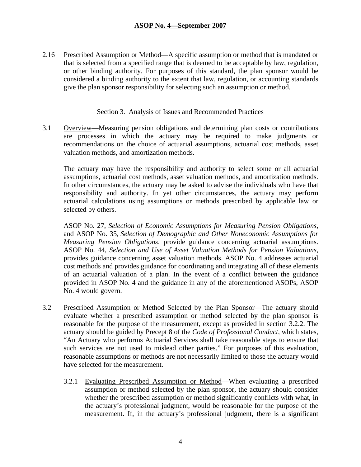2.16 Prescribed Assumption or Method—A specific assumption or method that is mandated or that is selected from a specified range that is deemed to be acceptable by law, regulation, or other binding authority. For purposes of this standard, the plan sponsor would be considered a binding authority to the extent that law, regulation, or accounting standards give the plan sponsor responsibility for selecting such an assumption or method.

#### Section 3. Analysis of Issues and Recommended Practices

3.1 Overview—Measuring pension obligations and determining plan costs or contributions are processes in which the actuary may be required to make judgments or recommendations on the choice of actuarial assumptions, actuarial cost methods, asset valuation methods, and amortization methods.

The actuary may have the responsibility and authority to select some or all actuarial assumptions, actuarial cost methods, asset valuation methods, and amortization methods. In other circumstances, the actuary may be asked to advise the individuals who have that responsibility and authority. In yet other circumstances, the actuary may perform actuarial calculations using assumptions or methods prescribed by applicable law or selected by others.

ASOP No. 27, *Selection of Economic Assumptions for Measuring Pension Obligations*, and ASOP No. 35, *Selection of Demographic and Other Noneconomic Assumptions for Measuring Pension Obligations*, provide guidance concerning actuarial assumptions. ASOP No. 44, *Selection and Use of Asset Valuation Methods for Pension Valuations*, provides guidance concerning asset valuation methods. ASOP No. 4 addresses actuarial cost methods and provides guidance for coordinating and integrating all of these elements of an actuarial valuation of a plan. In the event of a conflict between the guidance provided in ASOP No. 4 and the guidance in any of the aforementioned ASOPs, ASOP No. 4 would govern.

- 3.2 Prescribed Assumption or Method Selected by the Plan Sponsor—The actuary should evaluate whether a prescribed assumption or method selected by the plan sponsor is reasonable for the purpose of the measurement, except as provided in section 3.2.2. The actuary should be guided by Precept 8 of the *Code of Professional Conduct*, which states, "An Actuary who performs Actuarial Services shall take reasonable steps to ensure that such services are not used to mislead other parties." For purposes of this evaluation, reasonable assumptions or methods are not necessarily limited to those the actuary would have selected for the measurement.
	- 3.2.1 Evaluating Prescribed Assumption or Method—When evaluating a prescribed assumption or method selected by the plan sponsor, the actuary should consider whether the prescribed assumption or method significantly conflicts with what, in the actuary's professional judgment, would be reasonable for the purpose of the measurement. If, in the actuary's professional judgment, there is a significant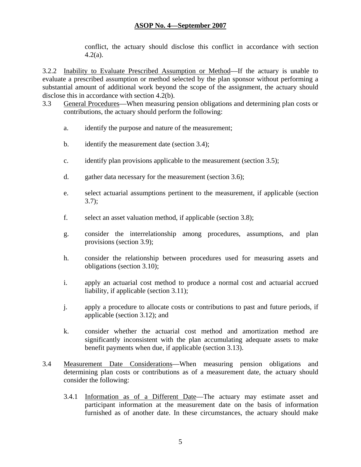conflict, the actuary should disclose this conflict in accordance with section 4.2(a).

3.2.2 Inability to Evaluate Prescribed Assumption or Method—If the actuary is unable to evaluate a prescribed assumption or method selected by the plan sponsor without performing a substantial amount of additional work beyond the scope of the assignment, the actuary should disclose this in accordance with section 4.2(b).

- 3.3 General Procedures—When measuring pension obligations and determining plan costs or contributions, the actuary should perform the following:
	- a. identify the purpose and nature of the measurement;
	- b. identify the measurement date (section 3.4);
	- c. identify plan provisions applicable to the measurement (section 3.5);
	- d. gather data necessary for the measurement (section 3.6);
	- e. select actuarial assumptions pertinent to the measurement, if applicable (section  $3.7);$
	- f. select an asset valuation method, if applicable (section 3.8);
	- g. consider the interrelationship among procedures, assumptions, and plan provisions (section 3.9);
	- h. consider the relationship between procedures used for measuring assets and obligations (section 3.10);
	- i. apply an actuarial cost method to produce a normal cost and actuarial accrued liability, if applicable (section 3.11);
	- j. apply a procedure to allocate costs or contributions to past and future periods, if applicable (section 3.12); and
	- k. consider whether the actuarial cost method and amortization method are significantly inconsistent with the plan accumulating adequate assets to make benefit payments when due, if applicable (section 3.13).
- 3.4 Measurement Date Considerations—When measuring pension obligations and determining plan costs or contributions as of a measurement date, the actuary should consider the following:
	- 3.4.1 Information as of a Different Date—The actuary may estimate asset and participant information at the measurement date on the basis of information furnished as of another date. In these circumstances, the actuary should make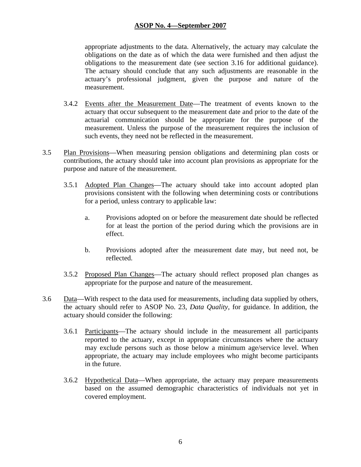appropriate adjustments to the data. Alternatively, the actuary may calculate the obligations on the date as of which the data were furnished and then adjust the obligations to the measurement date (see section 3.16 for additional guidance). The actuary should conclude that any such adjustments are reasonable in the actuary's professional judgment, given the purpose and nature of the measurement.

- 3.4.2 Events after the Measurement Date—The treatment of events known to the actuary that occur subsequent to the measurement date and prior to the date of the actuarial communication should be appropriate for the purpose of the measurement. Unless the purpose of the measurement requires the inclusion of such events, they need not be reflected in the measurement.
- 3.5 Plan Provisions—When measuring pension obligations and determining plan costs or contributions, the actuary should take into account plan provisions as appropriate for the purpose and nature of the measurement.
	- 3.5.1 Adopted Plan Changes—The actuary should take into account adopted plan provisions consistent with the following when determining costs or contributions for a period, unless contrary to applicable law:
		- a. Provisions adopted on or before the measurement date should be reflected for at least the portion of the period during which the provisions are in effect.
		- b. Provisions adopted after the measurement date may, but need not, be reflected.
	- 3.5.2 Proposed Plan Changes—The actuary should reflect proposed plan changes as appropriate for the purpose and nature of the measurement.
- 3.6 Data—With respect to the data used for measurements, including data supplied by others, the actuary should refer to ASOP No. 23, *Data Quality*, for guidance. In addition, the actuary should consider the following:
	- 3.6.1 Participants—The actuary should include in the measurement all participants reported to the actuary, except in appropriate circumstances where the actuary may exclude persons such as those below a minimum age/service level. When appropriate, the actuary may include employees who might become participants in the future.
	- 3.6.2 Hypothetical Data—When appropriate, the actuary may prepare measurements based on the assumed demographic characteristics of individuals not yet in covered employment.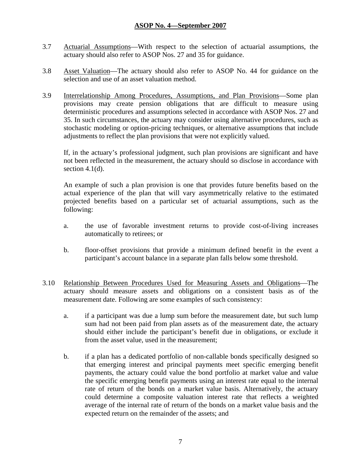- 3.7 Actuarial Assumptions—With respect to the selection of actuarial assumptions, the actuary should also refer to ASOP Nos. 27 and 35 for guidance.
- 3.8 Asset Valuation—The actuary should also refer to ASOP No. 44 for guidance on the selection and use of an asset valuation method.
- 3.9 Interrelationship Among Procedures, Assumptions, and Plan Provisions—Some plan provisions may create pension obligations that are difficult to measure using deterministic procedures and assumptions selected in accordance with ASOP Nos. 27 and 35. In such circumstances, the actuary may consider using alternative procedures, such as stochastic modeling or option-pricing techniques, or alternative assumptions that include adjustments to reflect the plan provisions that were not explicitly valued.

If, in the actuary's professional judgment, such plan provisions are significant and have not been reflected in the measurement, the actuary should so disclose in accordance with section  $4.1(d)$ .

An example of such a plan provision is one that provides future benefits based on the actual experience of the plan that will vary asymmetrically relative to the estimated projected benefits based on a particular set of actuarial assumptions, such as the following:

- a. the use of favorable investment returns to provide cost-of-living increases automatically to retirees; or
- b. floor-offset provisions that provide a minimum defined benefit in the event a participant's account balance in a separate plan falls below some threshold.
- 3.10 Relationship Between Procedures Used for Measuring Assets and Obligations—The actuary should measure assets and obligations on a consistent basis as of the measurement date. Following are some examples of such consistency:
	- a. if a participant was due a lump sum before the measurement date, but such lump sum had not been paid from plan assets as of the measurement date, the actuary should either include the participant's benefit due in obligations, or exclude it from the asset value, used in the measurement;
	- b. if a plan has a dedicated portfolio of non-callable bonds specifically designed so that emerging interest and principal payments meet specific emerging benefit payments, the actuary could value the bond portfolio at market value and value the specific emerging benefit payments using an interest rate equal to the internal rate of return of the bonds on a market value basis. Alternatively, the actuary could determine a composite valuation interest rate that reflects a weighted average of the internal rate of return of the bonds on a market value basis and the expected return on the remainder of the assets; and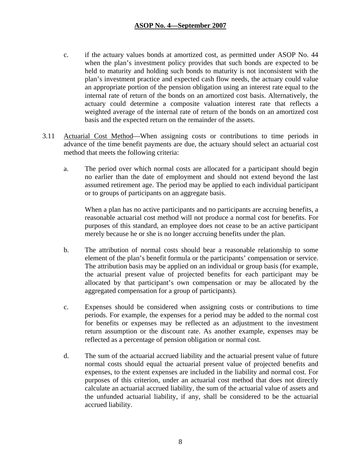- c. if the actuary values bonds at amortized cost, as permitted under ASOP No. 44 when the plan's investment policy provides that such bonds are expected to be held to maturity and holding such bonds to maturity is not inconsistent with the plan's investment practice and expected cash flow needs, the actuary could value an appropriate portion of the pension obligation using an interest rate equal to the internal rate of return of the bonds on an amortized cost basis. Alternatively, the actuary could determine a composite valuation interest rate that reflects a weighted average of the internal rate of return of the bonds on an amortized cost basis and the expected return on the remainder of the assets.
- 3.11 Actuarial Cost Method—When assigning costs or contributions to time periods in advance of the time benefit payments are due, the actuary should select an actuarial cost method that meets the following criteria:
	- a. The period over which normal costs are allocated for a participant should begin no earlier than the date of employment and should not extend beyond the last assumed retirement age. The period may be applied to each individual participant or to groups of participants on an aggregate basis.

When a plan has no active participants and no participants are accruing benefits, a reasonable actuarial cost method will not produce a normal cost for benefits. For purposes of this standard, an employee does not cease to be an active participant merely because he or she is no longer accruing benefits under the plan.

- b. The attribution of normal costs should bear a reasonable relationship to some element of the plan's benefit formula or the participants' compensation or service. The attribution basis may be applied on an individual or group basis (for example, the actuarial present value of projected benefits for each participant may be allocated by that participant's own compensation or may be allocated by the aggregated compensation for a group of participants).
- c. Expenses should be considered when assigning costs or contributions to time periods. For example, the expenses for a period may be added to the normal cost for benefits or expenses may be reflected as an adjustment to the investment return assumption or the discount rate. As another example, expenses may be reflected as a percentage of pension obligation or normal cost.
- d. The sum of the actuarial accrued liability and the actuarial present value of future normal costs should equal the actuarial present value of projected benefits and expenses, to the extent expenses are included in the liability and normal cost. For purposes of this criterion, under an actuarial cost method that does not directly calculate an actuarial accrued liability, the sum of the actuarial value of assets and the unfunded actuarial liability, if any, shall be considered to be the actuarial accrued liability.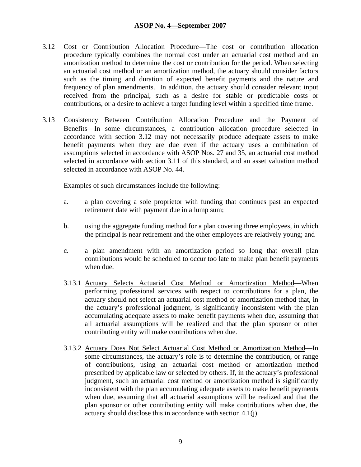- 3.12 Cost or Contribution Allocation Procedure—The cost or contribution allocation procedure typically combines the normal cost under an actuarial cost method and an amortization method to determine the cost or contribution for the period. When selecting an actuarial cost method or an amortization method, the actuary should consider factors such as the timing and duration of expected benefit payments and the nature and frequency of plan amendments. In addition, the actuary should consider relevant input received from the principal, such as a desire for stable or predictable costs or contributions, or a desire to achieve a target funding level within a specified time frame.
- 3.13 Consistency Between Contribution Allocation Procedure and the Payment of Benefits—In some circumstances, a contribution allocation procedure selected in accordance with section 3.12 may not necessarily produce adequate assets to make benefit payments when they are due even if the actuary uses a combination of assumptions selected in accordance with ASOP Nos. 27 and 35, an actuarial cost method selected in accordance with section 3.11 of this standard, and an asset valuation method selected in accordance with ASOP No. 44.

Examples of such circumstances include the following:

- a. a plan covering a sole proprietor with funding that continues past an expected retirement date with payment due in a lump sum;
- b. using the aggregate funding method for a plan covering three employees, in which the principal is near retirement and the other employees are relatively young; and
- c. a plan amendment with an amortization period so long that overall plan contributions would be scheduled to occur too late to make plan benefit payments when due.
- 3.13.1 Actuary Selects Actuarial Cost Method or Amortization Method—When performing professional services with respect to contributions for a plan, the actuary should not select an actuarial cost method or amortization method that, in the actuary's professional judgment, is significantly inconsistent with the plan accumulating adequate assets to make benefit payments when due, assuming that all actuarial assumptions will be realized and that the plan sponsor or other contributing entity will make contributions when due.
- 3.13.2 Actuary Does Not Select Actuarial Cost Method or Amortization Method—In some circumstances, the actuary's role is to determine the contribution, or range of contributions, using an actuarial cost method or amortization method prescribed by applicable law or selected by others. If, in the actuary's professional judgment, such an actuarial cost method or amortization method is significantly inconsistent with the plan accumulating adequate assets to make benefit payments when due, assuming that all actuarial assumptions will be realized and that the plan sponsor or other contributing entity will make contributions when due, the actuary should disclose this in accordance with section 4.1(j).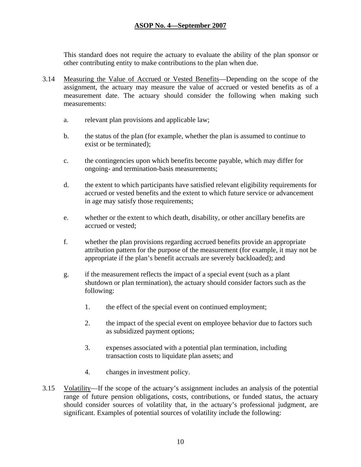This standard does not require the actuary to evaluate the ability of the plan sponsor or other contributing entity to make contributions to the plan when due.

- 3.14 Measuring the Value of Accrued or Vested Benefits—Depending on the scope of the assignment, the actuary may measure the value of accrued or vested benefits as of a measurement date. The actuary should consider the following when making such measurements:
	- a. relevant plan provisions and applicable law;
	- b. the status of the plan (for example, whether the plan is assumed to continue to exist or be terminated);
	- c. the contingencies upon which benefits become payable, which may differ for ongoing- and termination-basis measurements;
	- d. the extent to which participants have satisfied relevant eligibility requirements for accrued or vested benefits and the extent to which future service or advancement in age may satisfy those requirements;
	- e. whether or the extent to which death, disability, or other ancillary benefits are accrued or vested;
	- f. whether the plan provisions regarding accrued benefits provide an appropriate attribution pattern for the purpose of the measurement (for example, it may not be appropriate if the plan's benefit accruals are severely backloaded); and
	- g. if the measurement reflects the impact of a special event (such as a plant shutdown or plan termination), the actuary should consider factors such as the following:
		- 1. the effect of the special event on continued employment;
		- 2. the impact of the special event on employee behavior due to factors such as subsidized payment options;
		- 3. expenses associated with a potential plan termination, including transaction costs to liquidate plan assets; and
		- 4. changes in investment policy.
- 3.15 Volatility—If the scope of the actuary's assignment includes an analysis of the potential range of future pension obligations, costs, contributions, or funded status, the actuary should consider sources of volatility that, in the actuary's professional judgment, are significant. Examples of potential sources of volatility include the following: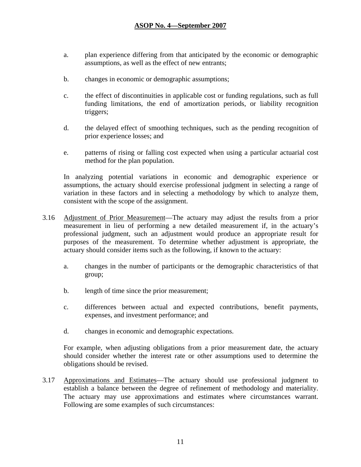- a. plan experience differing from that anticipated by the economic or demographic assumptions, as well as the effect of new entrants;
- b. changes in economic or demographic assumptions;
- c. the effect of discontinuities in applicable cost or funding regulations, such as full funding limitations, the end of amortization periods, or liability recognition triggers;
- d. the delayed effect of smoothing techniques, such as the pending recognition of prior experience losses; and
- e. patterns of rising or falling cost expected when using a particular actuarial cost method for the plan population.

In analyzing potential variations in economic and demographic experience or assumptions, the actuary should exercise professional judgment in selecting a range of variation in these factors and in selecting a methodology by which to analyze them, consistent with the scope of the assignment.

- 3.16 Adjustment of Prior Measurement—The actuary may adjust the results from a prior measurement in lieu of performing a new detailed measurement if, in the actuary's professional judgment, such an adjustment would produce an appropriate result for purposes of the measurement. To determine whether adjustment is appropriate, the actuary should consider items such as the following, if known to the actuary:
	- a. changes in the number of participants or the demographic characteristics of that group;
	- b. length of time since the prior measurement;
	- c. differences between actual and expected contributions, benefit payments, expenses, and investment performance; and
	- d. changes in economic and demographic expectations.

For example, when adjusting obligations from a prior measurement date, the actuary should consider whether the interest rate or other assumptions used to determine the obligations should be revised.

3.17 Approximations and Estimates—The actuary should use professional judgment to establish a balance between the degree of refinement of methodology and materiality. The actuary may use approximations and estimates where circumstances warrant. Following are some examples of such circumstances: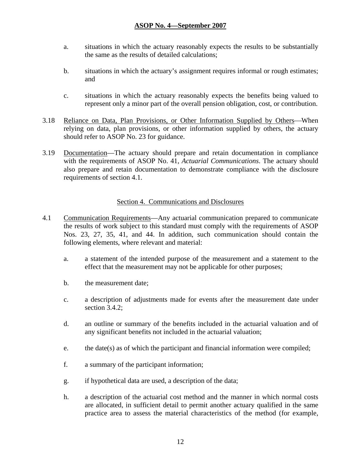- a. situations in which the actuary reasonably expects the results to be substantially the same as the results of detailed calculations;
- b. situations in which the actuary's assignment requires informal or rough estimates; and
- c. situations in which the actuary reasonably expects the benefits being valued to represent only a minor part of the overall pension obligation, cost, or contribution.
- 3.18 Reliance on Data, Plan Provisions, or Other Information Supplied by Others—When relying on data, plan provisions, or other information supplied by others, the actuary should refer to ASOP No. 23 for guidance.
- 3.19 Documentation—The actuary should prepare and retain documentation in compliance with the requirements of ASOP No. 41, *Actuarial Communications*. The actuary should also prepare and retain documentation to demonstrate compliance with the disclosure requirements of section 4.1.

#### Section 4. Communications and Disclosures

- 4.1 Communication Requirements—Any actuarial communication prepared to communicate the results of work subject to this standard must comply with the requirements of ASOP Nos. 23, 27, 35, 41, and 44. In addition, such communication should contain the following elements, where relevant and material:
	- a. a statement of the intended purpose of the measurement and a statement to the effect that the measurement may not be applicable for other purposes;
	- b. the measurement date;
	- c. a description of adjustments made for events after the measurement date under section 3.4.2;
	- d. an outline or summary of the benefits included in the actuarial valuation and of any significant benefits not included in the actuarial valuation;
	- e. the date(s) as of which the participant and financial information were compiled;
	- f. a summary of the participant information;
	- g. if hypothetical data are used, a description of the data;
	- h. a description of the actuarial cost method and the manner in which normal costs are allocated, in sufficient detail to permit another actuary qualified in the same practice area to assess the material characteristics of the method (for example,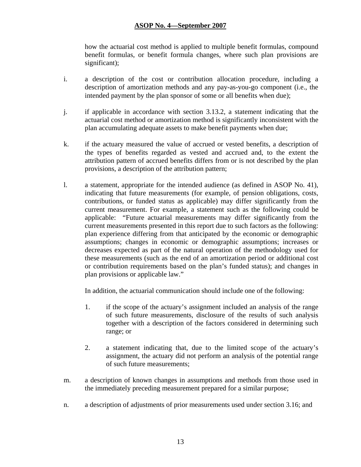how the actuarial cost method is applied to multiple benefit formulas, compound benefit formulas, or benefit formula changes, where such plan provisions are significant);

- i. a description of the cost or contribution allocation procedure, including a description of amortization methods and any pay-as-you-go component (i.e., the intended payment by the plan sponsor of some or all benefits when due);
- j. if applicable in accordance with section 3.13.2, a statement indicating that the actuarial cost method or amortization method is significantly inconsistent with the plan accumulating adequate assets to make benefit payments when due;
- k. if the actuary measured the value of accrued or vested benefits, a description of the types of benefits regarded as vested and accrued and, to the extent the attribution pattern of accrued benefits differs from or is not described by the plan provisions, a description of the attribution pattern;
- l. a statement, appropriate for the intended audience (as defined in ASOP No. 41), indicating that future measurements (for example, of pension obligations, costs, contributions, or funded status as applicable) may differ significantly from the current measurement. For example, a statement such as the following could be applicable: "Future actuarial measurements may differ significantly from the current measurements presented in this report due to such factors as the following: plan experience differing from that anticipated by the economic or demographic assumptions; changes in economic or demographic assumptions; increases or decreases expected as part of the natural operation of the methodology used for these measurements (such as the end of an amortization period or additional cost or contribution requirements based on the plan's funded status); and changes in plan provisions or applicable law."

In addition, the actuarial communication should include one of the following:

- 1. if the scope of the actuary's assignment included an analysis of the range of such future measurements, disclosure of the results of such analysis together with a description of the factors considered in determining such range; or
- 2. a statement indicating that, due to the limited scope of the actuary's assignment, the actuary did not perform an analysis of the potential range of such future measurements;
- m. a description of known changes in assumptions and methods from those used in the immediately preceding measurement prepared for a similar purpose;
- n. a description of adjustments of prior measurements used under section 3.16; and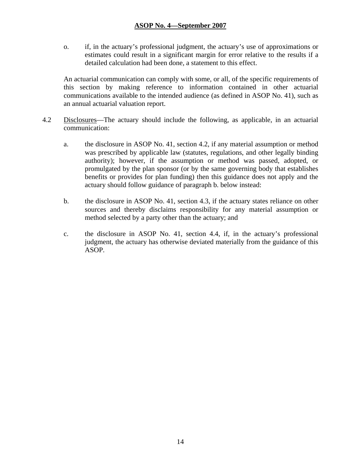o. if, in the actuary's professional judgment, the actuary's use of approximations or estimates could result in a significant margin for error relative to the results if a detailed calculation had been done, a statement to this effect.

An actuarial communication can comply with some, or all, of the specific requirements of this section by making reference to information contained in other actuarial communications available to the intended audience (as defined in ASOP No. 41), such as an annual actuarial valuation report.

- 4.2 Disclosures—The actuary should include the following, as applicable, in an actuarial communication:
	- a. the disclosure in ASOP No. 41, section 4.2, if any material assumption or method was prescribed by applicable law (statutes, regulations, and other legally binding authority); however, if the assumption or method was passed, adopted, or promulgated by the plan sponsor (or by the same governing body that establishes benefits or provides for plan funding) then this guidance does not apply and the actuary should follow guidance of paragraph b. below instead:
	- b. the disclosure in ASOP No. 41, section 4.3, if the actuary states reliance on other sources and thereby disclaims responsibility for any material assumption or method selected by a party other than the actuary; and
	- c. the disclosure in ASOP No. 41, section 4.4, if, in the actuary's professional judgment, the actuary has otherwise deviated materially from the guidance of this ASOP.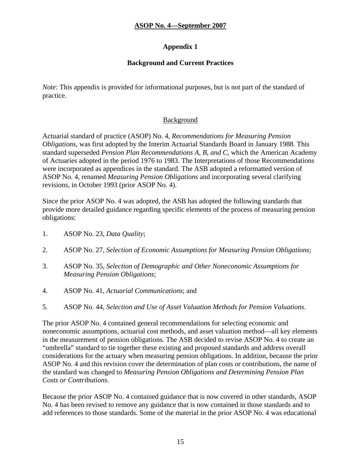# **Appendix 1**

# **Background and Current Practices**

*Note*: This appendix is provided for informational purposes, but is not part of the standard of practice.

# Background

Actuarial standard of practice (ASOP) No. 4, *Recommendations for Measuring Pension Obligations*, was first adopted by the Interim Actuarial Standards Board in January 1988. This standard superseded *Pension Plan Recommendations A, B, and C*, which the American Academy of Actuaries adopted in the period 1976 to 1983. The Interpretations of those Recommendations were incorporated as appendices in the standard. The ASB adopted a reformatted version of ASOP No. 4, renamed *Measuring Pension Obligations* and incorporating several clarifying revisions, in October 1993 (prior ASOP No. 4).

Since the prior ASOP No. 4 was adopted, the ASB has adopted the following standards that provide more detailed guidance regarding specific elements of the process of measuring pension obligations:

- 1. ASOP No. 23, *Data Quality*;
- 2. ASOP No. 27, *Selection of Economic Assumptions for Measuring Pension Obligations*;
- 3. ASOP No. 35, *Selection of Demographic and Other Noneconomic Assumptions for Measuring Pension Obligations*;
- 4. ASOP No. 41, *Actuarial Communications*; and
- 5. ASOP No. 44, *Selection and Use of Asset Valuation Methods for Pension Valuations*.

The prior ASOP No. 4 contained general recommendations for selecting economic and noneconomic assumptions, actuarial cost methods, and asset valuation method—all key elements in the measurement of pension obligations. The ASB decided to revise ASOP No. 4 to create an "umbrella" standard to tie together these existing and proposed standards and address overall considerations for the actuary when measuring pension obligations. In addition, because the prior ASOP No. 4 and this revision cover the determination of plan costs or contributions, the name of the standard was changed to *Measuring Pension Obligations and Determining Pension Plan Costs or Contributions*.

Because the prior ASOP No. 4 contained guidance that is now covered in other standards, ASOP No. 4 has been revised to remove any guidance that is now contained in those standards and to add references to those standards. Some of the material in the prior ASOP No. 4 was educational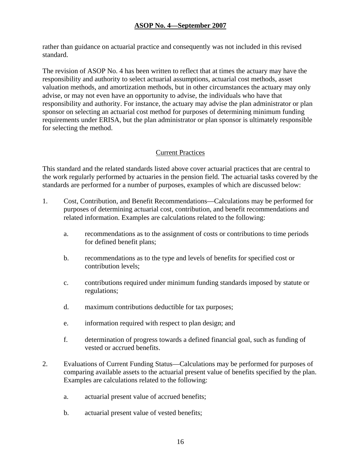rather than guidance on actuarial practice and consequently was not included in this revised standard.

The revision of ASOP No. 4 has been written to reflect that at times the actuary may have the responsibility and authority to select actuarial assumptions, actuarial cost methods, asset valuation methods, and amortization methods, but in other circumstances the actuary may only advise, or may not even have an opportunity to advise, the individuals who have that responsibility and authority. For instance, the actuary may advise the plan administrator or plan sponsor on selecting an actuarial cost method for purposes of determining minimum funding requirements under ERISA, but the plan administrator or plan sponsor is ultimately responsible for selecting the method.

# Current Practices

This standard and the related standards listed above cover actuarial practices that are central to the work regularly performed by actuaries in the pension field. The actuarial tasks covered by the standards are performed for a number of purposes, examples of which are discussed below:

- 1. Cost, Contribution, and Benefit Recommendations—Calculations may be performed for purposes of determining actuarial cost, contribution, and benefit recommendations and related information. Examples are calculations related to the following:
	- a. recommendations as to the assignment of costs or contributions to time periods for defined benefit plans;
	- b. recommendations as to the type and levels of benefits for specified cost or contribution levels;
	- c. contributions required under minimum funding standards imposed by statute or regulations;
	- d. maximum contributions deductible for tax purposes;
	- e. information required with respect to plan design; and
	- f. determination of progress towards a defined financial goal, such as funding of vested or accrued benefits.
- 2. Evaluations of Current Funding Status—Calculations may be performed for purposes of comparing available assets to the actuarial present value of benefits specified by the plan. Examples are calculations related to the following:
	- a. actuarial present value of accrued benefits;
	- b. actuarial present value of vested benefits;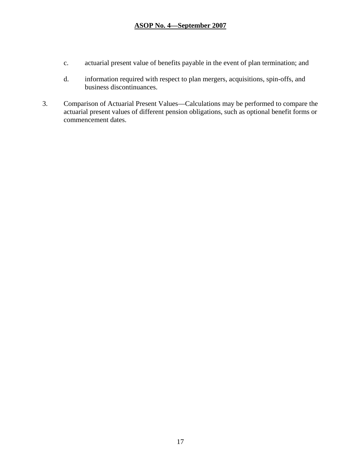- c. actuarial present value of benefits payable in the event of plan termination; and
- d. information required with respect to plan mergers, acquisitions, spin-offs, and business discontinuances.
- 3. Comparison of Actuarial Present Values—Calculations may be performed to compare the actuarial present values of different pension obligations, such as optional benefit forms or commencement dates.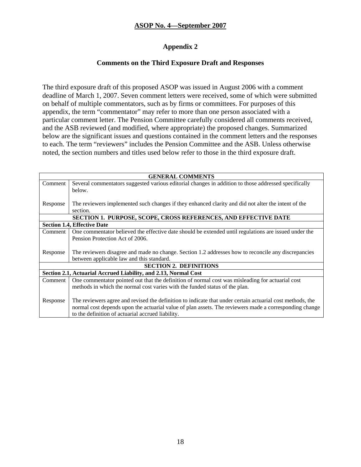# **Appendix 2**

#### **Comments on the Third Exposure Draft and Responses**

The third exposure draft of this proposed ASOP was issued in August 2006 with a comment deadline of March 1, 2007. Seven comment letters were received, some of which were submitted on behalf of multiple commentators, such as by firms or committees. For purposes of this appendix, the term "commentator" may refer to more than one person associated with a particular comment letter. The Pension Committee carefully considered all comments received, and the ASB reviewed (and modified, where appropriate) the proposed changes. Summarized below are the significant issues and questions contained in the comment letters and the responses to each. The term "reviewers" includes the Pension Committee and the ASB. Unless otherwise noted, the section numbers and titles used below refer to those in the third exposure draft.

| <b>GENERAL COMMENTS</b>                                                |                                                                                                           |  |
|------------------------------------------------------------------------|-----------------------------------------------------------------------------------------------------------|--|
| Comment                                                                | Several commentators suggested various editorial changes in addition to those addressed specifically      |  |
|                                                                        | below.                                                                                                    |  |
|                                                                        |                                                                                                           |  |
| Response                                                               | The reviewers implemented such changes if they enhanced clarity and did not alter the intent of the       |  |
|                                                                        | section.                                                                                                  |  |
| <b>SECTION 1. PURPOSE, SCOPE, CROSS REFERENCES, AND EFFECTIVE DATE</b> |                                                                                                           |  |
| <b>Section 1.4, Effective Date</b>                                     |                                                                                                           |  |
| Comment                                                                | One commentator believed the effective date should be extended until regulations are issued under the     |  |
|                                                                        | Pension Protection Act of 2006.                                                                           |  |
|                                                                        |                                                                                                           |  |
| Response                                                               | The reviewers disagree and made no change. Section 1.2 addresses how to reconcile any discrepancies       |  |
|                                                                        | between applicable law and this standard.                                                                 |  |
| <b>SECTION 2. DEFINITIONS</b>                                          |                                                                                                           |  |
| Section 2.1, Actuarial Accrued Liability, and 2.13, Normal Cost        |                                                                                                           |  |
| Comment                                                                | One commentator pointed out that the definition of normal cost was misleading for actuarial cost          |  |
|                                                                        | methods in which the normal cost varies with the funded status of the plan.                               |  |
|                                                                        |                                                                                                           |  |
| Response                                                               | The reviewers agree and revised the definition to indicate that under certain actuarial cost methods, the |  |
|                                                                        | normal cost depends upon the actuarial value of plan assets. The reviewers made a corresponding change    |  |
|                                                                        | to the definition of actuarial accrued liability.                                                         |  |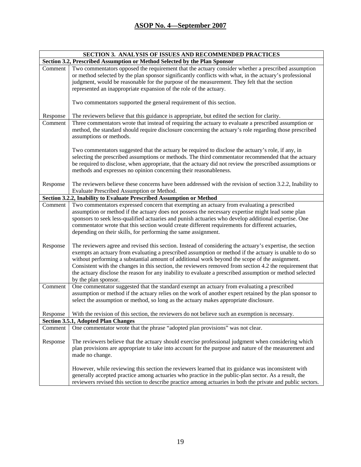| SECTION 3. ANALYSIS OF ISSUES AND RECOMMENDED PRACTICES                   |                                                                                                                                                                                                                                                                                                                                                                                                                                                                                                                                                                       |  |
|---------------------------------------------------------------------------|-----------------------------------------------------------------------------------------------------------------------------------------------------------------------------------------------------------------------------------------------------------------------------------------------------------------------------------------------------------------------------------------------------------------------------------------------------------------------------------------------------------------------------------------------------------------------|--|
| Section 3.2, Prescribed Assumption or Method Selected by the Plan Sponsor |                                                                                                                                                                                                                                                                                                                                                                                                                                                                                                                                                                       |  |
| Comment                                                                   | Two commentators opposed the requirement that the actuary consider whether a prescribed assumption<br>or method selected by the plan sponsor significantly conflicts with what, in the actuary's professional<br>judgment, would be reasonable for the purpose of the measurement. They felt that the section<br>represented an inappropriate expansion of the role of the actuary.                                                                                                                                                                                   |  |
|                                                                           | Two commentators supported the general requirement of this section.                                                                                                                                                                                                                                                                                                                                                                                                                                                                                                   |  |
| Response                                                                  | The reviewers believe that this guidance is appropriate, but edited the section for clarity.                                                                                                                                                                                                                                                                                                                                                                                                                                                                          |  |
| Comment                                                                   | Three commentators wrote that instead of requiring the actuary to evaluate a prescribed assumption or<br>method, the standard should require disclosure concerning the actuary's role regarding those prescribed<br>assumptions or methods.                                                                                                                                                                                                                                                                                                                           |  |
|                                                                           | Two commentators suggested that the actuary be required to disclose the actuary's role, if any, in<br>selecting the prescribed assumptions or methods. The third commentator recommended that the actuary<br>be required to disclose, when appropriate, that the actuary did not review the prescribed assumptions or<br>methods and expresses no opinion concerning their reasonableness.                                                                                                                                                                            |  |
| Response                                                                  | The reviewers believe these concerns have been addressed with the revision of section 3.2.2, Inability to<br>Evaluate Prescribed Assumption or Method.                                                                                                                                                                                                                                                                                                                                                                                                                |  |
|                                                                           | Section 3.2.2, Inability to Evaluate Prescribed Assumption or Method                                                                                                                                                                                                                                                                                                                                                                                                                                                                                                  |  |
| Comment                                                                   | Two commentators expressed concern that exempting an actuary from evaluating a prescribed<br>assumption or method if the actuary does not possess the necessary expertise might lead some plan<br>sponsors to seek less-qualified actuaries and punish actuaries who develop additional expertise. One<br>commentator wrote that this section would create different requirements for different actuaries,<br>depending on their skills, for performing the same assignment.                                                                                          |  |
| Response                                                                  | The reviewers agree and revised this section. Instead of considering the actuary's expertise, the section<br>exempts an actuary from evaluating a prescribed assumption or method if the actuary is unable to do so<br>without performing a substantial amount of additional work beyond the scope of the assignment.<br>Consistent with the changes in this section, the reviewers removed from section 4.2 the requirement that<br>the actuary disclose the reason for any inability to evaluate a prescribed assumption or method selected<br>by the plan sponsor. |  |
| Comment                                                                   | One commentator suggested that the standard exempt an actuary from evaluating a prescribed<br>assumption or method if the actuary relies on the work of another expert retained by the plan sponsor to<br>select the assumption or method, so long as the actuary makes appropriate disclosure.                                                                                                                                                                                                                                                                       |  |
| Response                                                                  | With the revision of this section, the reviewers do not believe such an exemption is necessary.                                                                                                                                                                                                                                                                                                                                                                                                                                                                       |  |
|                                                                           | <b>Section 3.5.1, Adopted Plan Changes</b>                                                                                                                                                                                                                                                                                                                                                                                                                                                                                                                            |  |
| Comment                                                                   | One commentator wrote that the phrase "adopted plan provisions" was not clear.                                                                                                                                                                                                                                                                                                                                                                                                                                                                                        |  |
| Response                                                                  | The reviewers believe that the actuary should exercise professional judgment when considering which<br>plan provisions are appropriate to take into account for the purpose and nature of the measurement and<br>made no change.                                                                                                                                                                                                                                                                                                                                      |  |
|                                                                           | However, while reviewing this section the reviewers learned that its guidance was inconsistent with<br>generally accepted practice among actuaries who practice in the public-plan sector. As a result, the<br>reviewers revised this section to describe practice among actuaries in both the private and public sectors.                                                                                                                                                                                                                                            |  |